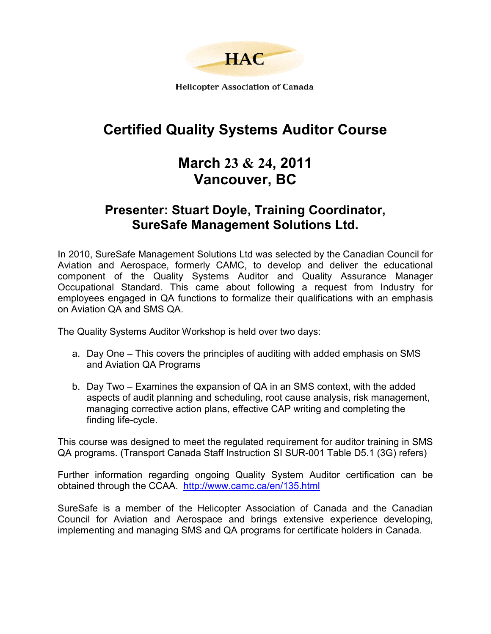

**Helicopter Association of Canada** 

# **Certified Quality Systems Auditor Course**

## **March 23 & 24, 2011 Vancouver, BC**

## **Presenter: Stuart Doyle, Training Coordinator, SureSafe Management Solutions Ltd.**

In 2010, SureSafe Management Solutions Ltd was selected by the Canadian Council for Aviation and Aerospace, formerly CAMC, to develop and deliver the educational component of the Quality Systems Auditor and Quality Assurance Manager Occupational Standard. This came about following a request from Industry for employees engaged in QA functions to formalize their qualifications with an emphasis on Aviation QA and SMS QA.

The Quality Systems Auditor Workshop is held over two days:

- a. Day One This covers the principles of auditing with added emphasis on SMS and Aviation QA Programs
- b. Day Two Examines the expansion of QA in an SMS context, with the added aspects of audit planning and scheduling, root cause analysis, risk management, managing corrective action plans, effective CAP writing and completing the finding life-cycle.

This course was designed to meet the regulated requirement for auditor training in SMS QA programs. (Transport Canada Staff Instruction SI SUR-001 Table D5.1 (3G) refers)

Further information regarding ongoing Quality System Auditor certification can be obtained through the CCAA. <http://www.camc.ca/en/135.html>

SureSafe is a member of the Helicopter Association of Canada and the Canadian Council for Aviation and Aerospace and brings extensive experience developing, implementing and managing SMS and QA programs for certificate holders in Canada.